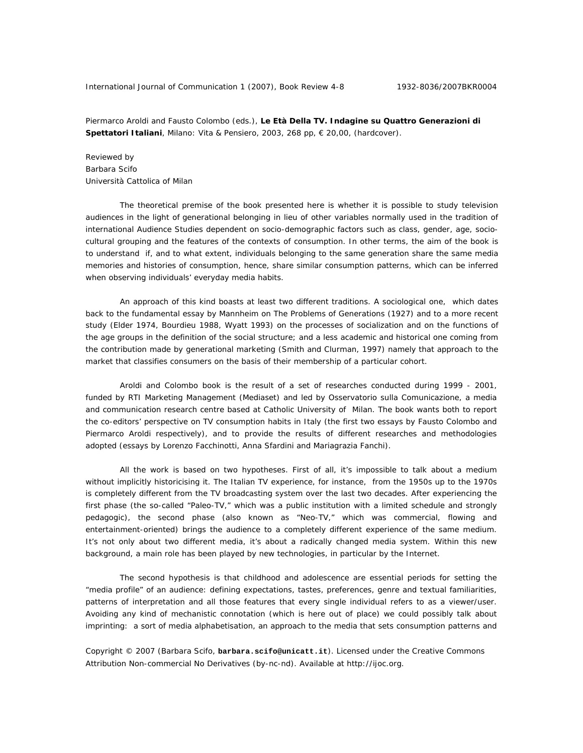International Journal of Communication 1 (2007), Book Review 4-8 1932-8036/2007BKR0004

Piermarco Aroldi and Fausto Colombo (eds.), **Le Età Della TV. Indagine su Quattro Generazioni di Spettatori Italiani**, Milano: Vita & Pensiero, 2003, 268 pp, € 20,00, (hardcover).

Reviewed by Barbara Scifo Università Cattolica of Milan

The theoretical premise of the book presented here is whether it is possible to study television audiences in the light of generational belonging in lieu of other variables normally used in the tradition of international Audience Studies dependent on socio-demographic factors such as class, gender, age, sociocultural grouping and the features of the contexts of consumption. In other terms, the aim of the book is to understand if, and to what extent, individuals belonging to the same generation share the same media memories and histories of consumption, hence, share similar consumption patterns, which can be inferred when observing individuals' everyday media habits.

An approach of this kind boasts at least two different traditions. A sociological one, which dates back to the fundamental essay by Mannheim on *The Problems of Generations* (1927) and to a more recent study (Elder 1974, Bourdieu 1988, Wyatt 1993) on the processes of socialization and on the functions of the age groups in the definition of the social structure; and a less academic and historical one coming from the contribution made by generational marketing (Smith and Clurman, 1997) namely that approach to the market that classifies consumers on the basis of their membership of a particular cohort.

Aroldi and Colombo book is the result of a set of researches conducted during 1999 - 2001, funded by RTI Marketing Management (Mediaset) and led by *Osservatorio sulla Comunicazione*, a media and communication research centre based at Catholic University of Milan. The book wants both to report the co-editors' perspective on TV consumption habits in Italy (the first two essays by Fausto Colombo and Piermarco Aroldi respectively), and to provide the results of different researches and methodologies adopted (essays by Lorenzo Facchinotti, Anna Sfardini and Mariagrazia Fanchi).

All the work is based on two hypotheses. First of all, it's impossible to talk about a medium without implicitly historicising it. The Italian TV experience, for instance, from the 1950s up to the 1970s is completely different from the TV broadcasting system over the last two decades. After experiencing the first phase (the so-called "Paleo-TV," which was a public institution with a limited schedule and strongly pedagogic), the second phase (also known as "Neo-TV," which was commercial, flowing and entertainment-oriented) brings the audience to a completely different experience of the same medium. It's not only about two different media, it's about a radically changed media system. Within this new background, a main role has been played by new technologies, in particular by the Internet.

The second hypothesis is that childhood and adolescence are essential periods for setting the "media profile" of an audience: defining expectations, tastes, preferences, genre and textual familiarities, patterns of interpretation and all those features that every single individual refers to as a viewer/user. Avoiding any kind of mechanistic connotation (which is here out of place) we could possibly talk about imprinting: a sort of media alphabetisation, an approach to the media that sets consumption patterns and

Copyright © 2007 (Barbara Scifo, **barbara.scifo@unicatt.it**). Licensed under the Creative Commons Attribution Non-commercial No Derivatives (by-nc-nd). Available at http://ijoc.org.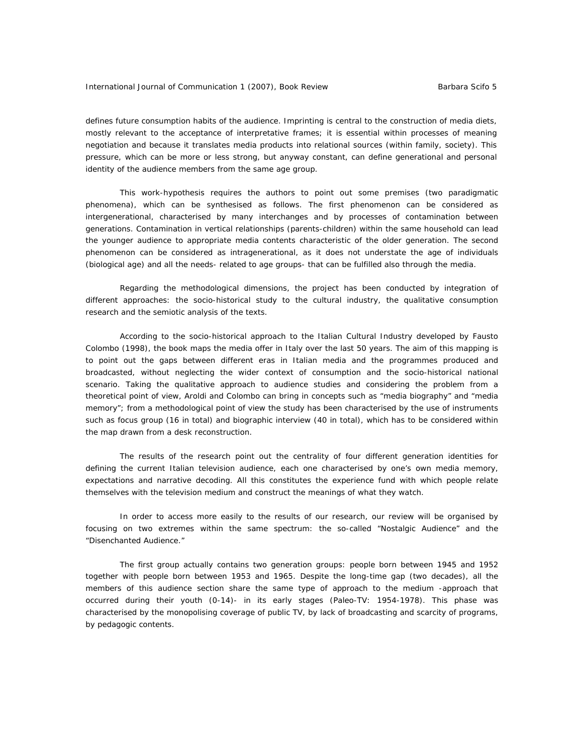defines future consumption habits of the audience. Imprinting is central to the construction of media diets, mostly relevant to the acceptance of interpretative frames; it is essential within processes of meaning negotiation and because it translates media products into relational sources (within family, society). This pressure, which can be more or less strong, but anyway constant, can define generational and personal identity of the audience members from the same age group.

This work-hypothesis requires the authors to point out some premises (two paradigmatic phenomena), which can be synthesised as follows. The first phenomenon can be considered as intergenerational, characterised by many interchanges and by processes of contamination between generations. Contamination in vertical relationships (parents-children) within the same household can lead the younger audience to appropriate media contents characteristic of the older generation. The second phenomenon can be considered as intragenerational, as it does not understate the age of individuals (biological age) and all the needs- related to age groups- that can be fulfilled also through the media.

Regarding the methodological dimensions, the project has been conducted by integration of different approaches: the socio-historical study to the cultural industry, the qualitative consumption research and the semiotic analysis of the texts.

According to the socio-historical approach to the Italian Cultural Industry developed by Fausto Colombo (1998), the book maps the media offer in Italy over the last 50 years. The aim of this mapping is to point out the gaps between different eras in Italian media and the programmes produced and broadcasted, without neglecting the wider context of consumption and the socio-historical national scenario. Taking the qualitative approach to audience studies and considering the problem from a theoretical point of view, Aroldi and Colombo can bring in concepts such as "media biography" and "media memory"; from a methodological point of view the study has been characterised by the use of instruments such as focus group (16 in total) and biographic interview (40 in total), which has to be considered within the map drawn from a desk reconstruction.

The results of the research point out the centrality of four different generation identities for defining the current Italian television audience, each one characterised by one's own media memory, expectations and narrative decoding. All this constitutes the experience fund with which people relate themselves with the television medium and construct the meanings of what they watch.

In order to access more easily to the results of our research, our review will be organised by focusing on two extremes within the same spectrum: the so-called "Nostalgic Audience" and the "Disenchanted Audience."

The first group actually contains two generation groups: people born between 1945 and 1952 together with people born between 1953 and 1965. Despite the long-time gap (two decades), all the members of this audience section share the same type of approach to the medium -approach that occurred during their youth (0-14)- in its early stages (Paleo-TV: 1954-1978). This phase was characterised by the monopolising coverage of public TV, by lack of broadcasting and scarcity of programs, by pedagogic contents.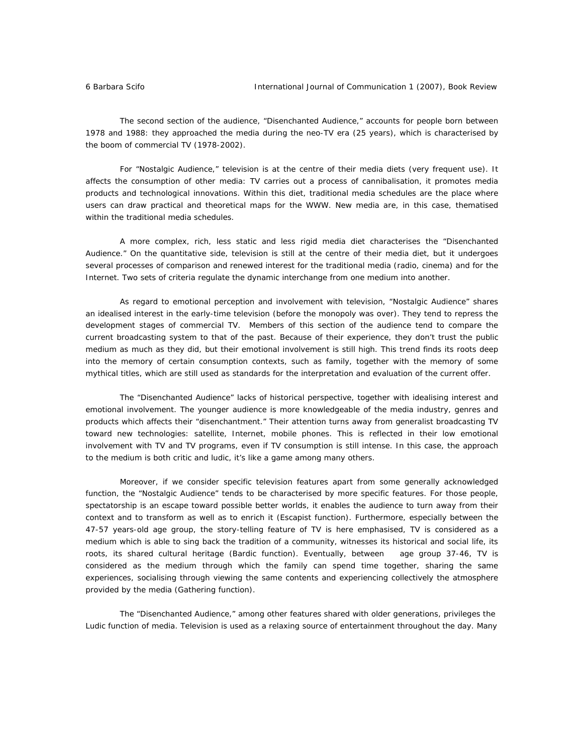The second section of the audience, "Disenchanted Audience," accounts for people born between 1978 and 1988: they approached the media during the neo-TV era (25 years), which is characterised by the boom of commercial TV (1978-2002).

For "Nostalgic Audience," television is at the centre of their media diets (very frequent use). It affects the consumption of other media: TV carries out a process of cannibalisation, it promotes media products and technological innovations. Within this diet, traditional media schedules are the place where users can draw practical and theoretical maps for the WWW. New media are, in this case, thematised within the traditional media schedules.

A more complex, rich, less static and less rigid media diet characterises the "Disenchanted Audience." On the quantitative side, television is still at the centre of their media diet, but it undergoes several processes of comparison and renewed interest for the traditional media (radio, cinema) and for the Internet. Two sets of criteria regulate the dynamic interchange from one medium into another.

As regard to emotional perception and involvement with television, "Nostalgic Audience" shares an idealised interest in the early-time television (before the monopoly was over). They tend to repress the development stages of commercial TV. Members of this section of the audience tend to compare the current broadcasting system to that of the past. Because of their experience, they don't trust the public medium as much as they did, but their emotional involvement is still high. This trend finds its roots deep into the memory of certain consumption contexts, such as family, together with the memory of some mythical titles, which are still used as standards for the interpretation and evaluation of the current offer.

The "Disenchanted Audience" lacks of historical perspective, together with idealising interest and emotional involvement. The younger audience is more knowledgeable of the media industry, genres and products which affects their "disenchantment." Their attention turns away from generalist broadcasting TV toward new technologies: satellite, Internet, mobile phones. This is reflected in their low emotional involvement with TV and TV programs, even if TV consumption is still intense. In this case, the approach to the medium is both critic and ludic, it's like a game among many others.

Moreover, if we consider specific television features apart from some generally acknowledged function, the "Nostalgic Audience" tends to be characterised by more specific features. For those people, spectatorship is an escape toward possible better worlds, it enables the audience to turn away from their context and to transform as well as to enrich it (*Escapist function*). Furthermore, especially between the 47-57 years-old age group, the story-telling feature of TV is here emphasised, TV is considered as a medium which is able to sing back the tradition of a community, witnesses its historical and social life, its roots, its shared cultural heritage (*Bardic function*). Eventually, between age group 37-46, TV is considered as the medium through which the family can spend time together, sharing the same experiences, socialising through viewing the same contents and experiencing collectively the atmosphere provided by the media (*Gathering function*).

The "Disenchanted Audience," among other features shared with older generations, privileges the *Ludic function* of media. Television is used as a relaxing source of entertainment throughout the day. Many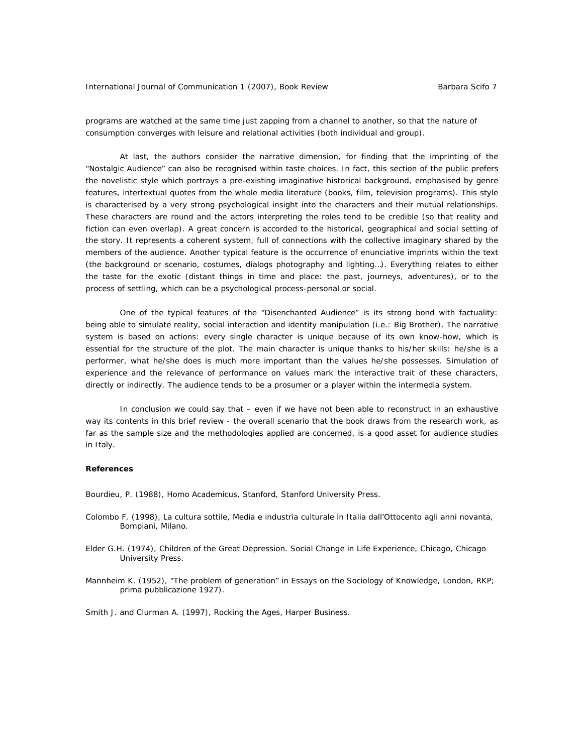programs are watched at the same time just zapping from a channel to another, so that the nature of consumption converges with leisure and relational activities (both individual and group).

At last, the authors consider the narrative dimension, for finding that the imprinting of the "Nostalgic Audience" can also be recognised within taste choices. In fact, this section of the public prefers the novelistic style which portrays a pre-existing imaginative historical background, emphasised by genre features, intertextual quotes from the whole media literature (books, film, television programs). This style is characterised by a very strong psychological insight into the characters and their mutual relationships. These characters are round and the actors interpreting the roles tend to be credible (so that reality and fiction can even overlap). A great concern is accorded to the historical, geographical and social setting of the story. It represents a coherent system, full of connections with the collective imaginary shared by the members of the audience. Another typical feature is the occurrence of enunciative imprints within the text (the background or scenario, costumes, dialogs photography and lighting…). Everything relates to either the taste for the exotic (distant things in time and place: the past, journeys, adventures), or to the process of settling, which can be a psychological process-personal or social.

One of the typical features of the "Disenchanted Audience" is its strong bond with factuality: being able to simulate reality, social interaction and identity manipulation (i.e.: Big Brother). The narrative system is based on actions: every single character is unique because of its own know-how, which is essential for the structure of the plot. The main character is unique thanks to his/her skills: he/she is a performer, what he/she does is much more important than the values he/she possesses. Simulation of experience and the relevance of performance on values mark the interactive trait of these characters, directly or indirectly. The audience tends to be a prosumer or a player within the intermedia system.

In conclusion we could say that – even if we have not been able to reconstruct in an exhaustive way its contents in this brief review - the overall scenario that the book draws from the research work, as far as the sample size and the methodologies applied are concerned, is a good asset for audience studies in Italy.

## **References**

Bourdieu, P. (1988), *Homo Academicus*, Stanford, Stanford University Press.

- Colombo F. (1998), *La cultura sottile, Media e industria culturale in Italia dall'Ottocento agli anni novanta*, Bompiani, Milano.
- Elder G.H. (1974), *Children of the Great Depression. Social Change in Life Experience*, Chicago, Chicago University Press.
- Mannheim K. (1952), "The problem of generation" in *Essays on the Sociology of Knowledge*, London, RKP; prima pubblicazione 1927).

Smith J. and Clurman A. (1997), *Rocking the Ages*, Harper Business.